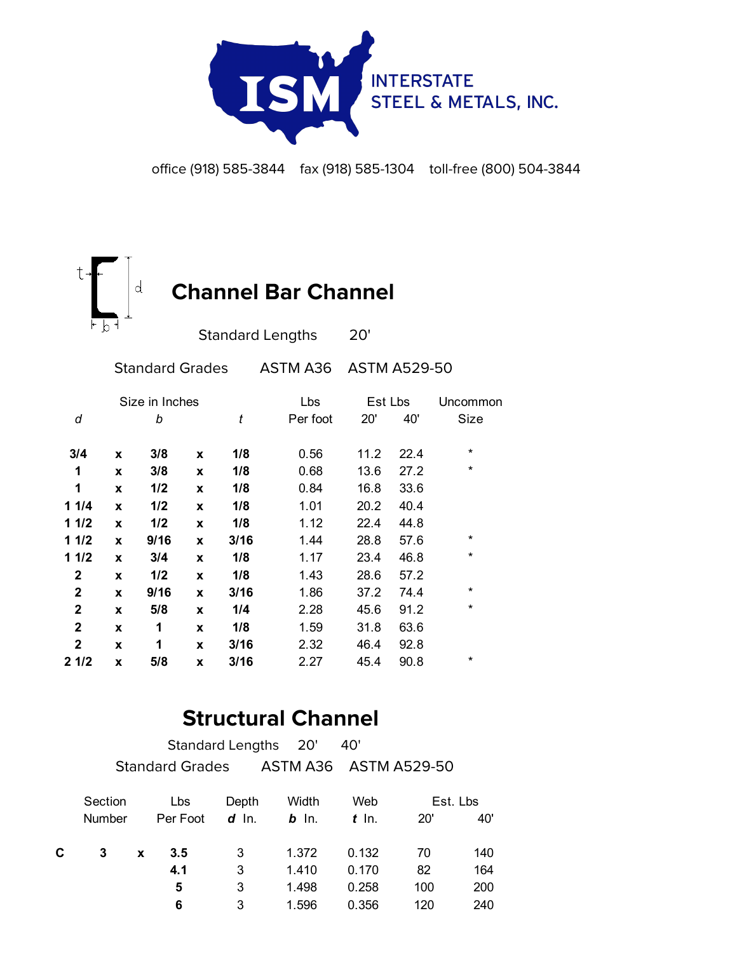

office (918) 585-3844 fax (918) 585-1304 toll-free (800) 504-3844



|   |      |   |                | Lbs      | Est Lbs |      | Uncommon |  |
|---|------|---|----------------|----------|---------|------|----------|--|
|   | b    |   | t              | Per foot | 20'     | 40'  | Size     |  |
| X | 3/8  | X | 1/8            | 0.56     | 11.2    | 22.4 | $\star$  |  |
| X | 3/8  | X | 1/8            | 0.68     | 13.6    | 27.2 | $\star$  |  |
| X | 1/2  | X | 1/8            | 0.84     | 16.8    | 33.6 |          |  |
| X | 1/2  | X | 1/8            | 1.01     | 20.2    | 40.4 |          |  |
| X | 1/2  | X | 1/8            | 1.12     | 22.4    | 44.8 |          |  |
| X | 9/16 | X | 3/16           | 1.44     | 28.8    | 57.6 | $\star$  |  |
| X | 3/4  | X | 1/8            | 1.17     | 23.4    | 46.8 | $\star$  |  |
| X | 1/2  | X | 1/8            | 1.43     | 28.6    | 57.2 |          |  |
| X | 9/16 | X | 3/16           | 1.86     | 37.2    | 74.4 | $\star$  |  |
| X | 5/8  | X | 1/4            | 2.28     | 45.6    | 91.2 | $\star$  |  |
| X | 1    | X | 1/8            | 1.59     | 31.8    | 63.6 |          |  |
| X | 1    | X | 3/16           | 2.32     | 46.4    | 92.8 |          |  |
| X | 5/8  | X | 3/16           | 2.27     | 45.4    | 90.8 | $^\star$ |  |
|   |      |   | Size in Inches |          |         |      |          |  |

## **Structural Channel**

|   |               |   | <b>Standard Lengths</b> |         | 20'                   | 40'     |            |     |
|---|---------------|---|-------------------------|---------|-----------------------|---------|------------|-----|
|   |               |   | <b>Standard Grades</b>  |         | ASTM A36 ASTM A529-50 |         |            |     |
|   | Section       |   | Lbs                     | Depth   | Width                 | Web     | Est. Lbs   |     |
|   | <b>Number</b> |   | Per Foot                | $d$ In. | $b$ In.               | $t$ In. | <b>20'</b> | 40' |
| C | 3             | X | 3.5                     | 3       | 1.372                 | 0.132   | 70         | 140 |
|   |               |   | 4.1                     | 3       | 1.410                 | 0.170   | 82         | 164 |
|   |               |   | 5                       | 3       | 1.498                 | 0.258   | 100        | 200 |
|   |               |   | 6                       | 3       | 1.596                 | 0.356   | 120        | 240 |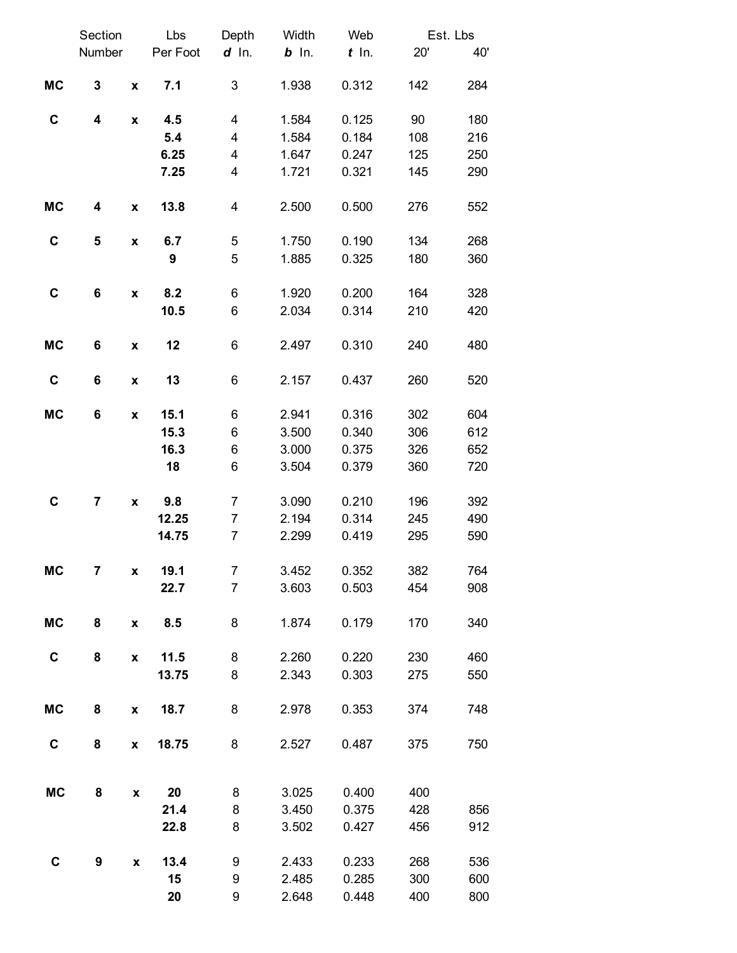|           | Section                 |                    | Lbs      | Depth          | Width   | Web     | Est. Lbs |     |
|-----------|-------------------------|--------------------|----------|----------------|---------|---------|----------|-----|
|           | Number                  |                    | Per Foot | $d$ In.        | $b$ In. | $t$ In. | 20'      | 40' |
|           |                         |                    |          |                |         |         |          |     |
| <b>MC</b> | 3                       | $\pmb{\mathsf{x}}$ | 7.1      | 3              | 1.938   | 0.312   | 142      | 284 |
| C         | $\overline{\mathbf{4}}$ | $\pmb{\mathsf{x}}$ | 4.5      | 4              | 1.584   | 0.125   | 90       | 180 |
|           |                         |                    | 5.4      | 4              | 1.584   | 0.184   | 108      | 216 |
|           |                         |                    | 6.25     | 4              | 1.647   | 0.247   | 125      | 250 |
|           |                         |                    | 7.25     | 4              | 1.721   | 0.321   | 145      | 290 |
|           |                         |                    |          |                |         |         |          |     |
| <b>MC</b> | 4                       | $\pmb{\mathsf{X}}$ | 13.8     | 4              | 2.500   | 0.500   | 276      | 552 |
| C         | 5                       | $\pmb{\mathsf{x}}$ | 6.7      | 5              | 1.750   | 0.190   | 134      | 268 |
|           |                         |                    | 9        | 5              | 1.885   | 0.325   | 180      | 360 |
|           |                         |                    |          |                |         |         |          |     |
| C         | 6                       | $\pmb{\mathsf{x}}$ | 8.2      | 6              | 1.920   | 0.200   | 164      | 328 |
|           |                         |                    | 10.5     | 6              | 2.034   | 0.314   | 210      | 420 |
|           |                         |                    |          |                |         |         |          |     |
| <b>MC</b> | 6                       | $\pmb{\mathsf{x}}$ | 12       | 6              | 2.497   | 0.310   | 240      | 480 |
|           |                         |                    |          |                |         |         |          |     |
| C         | 6                       | $\pmb{\mathsf{x}}$ | 13       | 6              | 2.157   | 0.437   | 260      | 520 |
|           |                         |                    |          |                |         |         |          |     |
| <b>MC</b> | 6                       | $\pmb{\mathsf{x}}$ | 15.1     | 6              | 2.941   | 0.316   | 302      | 604 |
|           |                         |                    | 15.3     | 6              | 3.500   | 0.340   | 306      | 612 |
|           |                         |                    | 16.3     | 6              | 3.000   | 0.375   | 326      | 652 |
|           |                         |                    | 18       | 6              | 3.504   | 0.379   | 360      | 720 |
|           |                         |                    |          |                |         |         |          |     |
| C         | $\overline{\mathbf{r}}$ | $\pmb{\mathsf{x}}$ | 9.8      | $\overline{7}$ | 3.090   | 0.210   | 196      | 392 |
|           |                         |                    | 12.25    | $\overline{7}$ | 2.194   | 0.314   | 245      | 490 |
|           |                         |                    | 14.75    | $\overline{7}$ | 2.299   | 0.419   | 295      | 590 |
| <b>MC</b> | $\overline{\mathbf{7}}$ |                    | 19.1     | $\overline{7}$ | 3.452   | 0.352   | 382      | 764 |
|           |                         | $\pmb{\mathsf{x}}$ | 22.7     | $\overline{7}$ | 3.603   | 0.503   | 454      | 908 |
|           |                         |                    |          |                |         |         |          |     |
| <b>MC</b> | 8                       | $\pmb{\mathsf{x}}$ | 8.5      | 8              | 1.874   | 0.179   | 170      | 340 |
|           |                         |                    |          |                |         |         |          |     |
| C         | 8                       | $\pmb{\mathsf{x}}$ | 11.5     | 8              | 2.260   | 0.220   | 230      | 460 |
|           |                         |                    | 13.75    | 8              | 2.343   | 0.303   | 275      | 550 |
|           |                         |                    |          |                |         |         |          |     |
| <b>MC</b> | 8                       | $\pmb{\mathsf{x}}$ | 18.7     | 8              | 2.978   | 0.353   | 374      | 748 |
|           |                         |                    |          |                |         |         |          |     |
| C         | 8                       | $\pmb{\mathsf{x}}$ | 18.75    | 8              | 2.527   | 0.487   | 375      | 750 |
|           |                         |                    |          |                |         |         |          |     |
| <b>MC</b> | 8                       |                    | 20       | 8              |         | 0.400   | 400      |     |
|           |                         | $\pmb{\mathsf{x}}$ |          |                | 3.025   |         |          |     |
|           |                         |                    | 21.4     | 8              | 3.450   | 0.375   | 428      | 856 |
|           |                         |                    | 22.8     | 8              | 3.502   | 0.427   | 456      | 912 |
| C         | 9                       |                    | 13.4     | 9              | 2.433   |         | 268      | 536 |
|           |                         | X                  | 15       |                |         | 0.233   | 300      | 600 |
|           |                         |                    |          | 9              | 2.485   | 0.285   |          |     |
|           |                         |                    | 20       | 9              | 2.648   | 0.448   | 400      | 800 |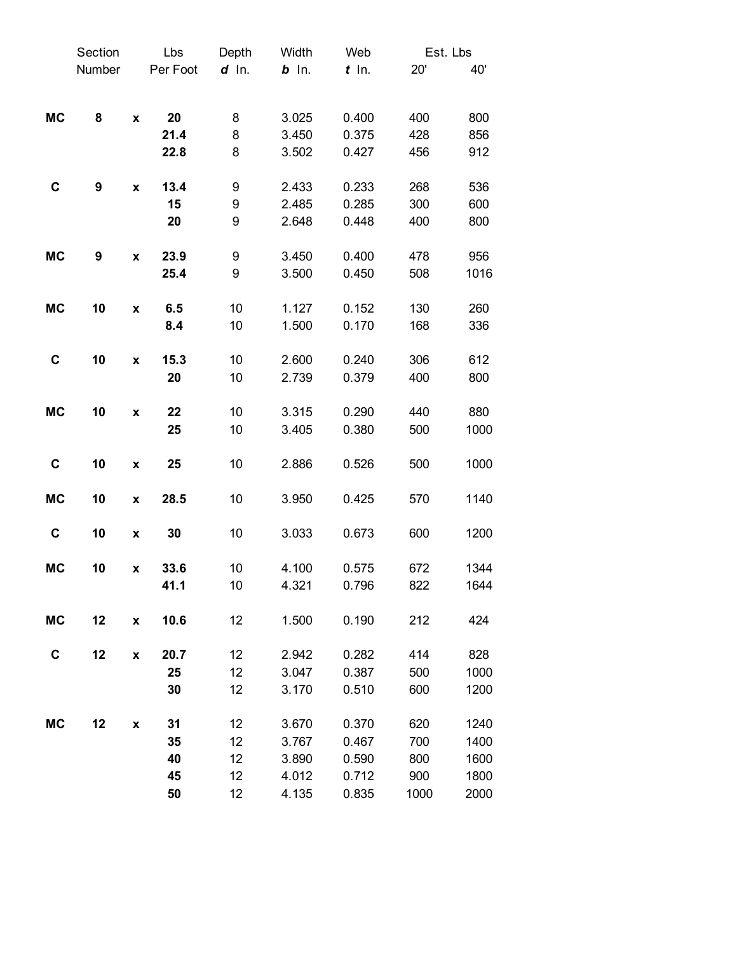|             | Section          |                    | Lbs      | Depth   | Width   | Web     | Est. Lbs |      |
|-------------|------------------|--------------------|----------|---------|---------|---------|----------|------|
|             | Number           |                    | Per Foot | $d$ In. | $b$ In. | $t$ In. | 20'      | 40'  |
|             |                  |                    |          |         |         |         |          |      |
| <b>MC</b>   | 8                | $\pmb{\mathsf{x}}$ | 20       | 8       | 3.025   | 0.400   | 400      | 800  |
|             |                  |                    | 21.4     | 8       | 3.450   | 0.375   | 428      | 856  |
|             |                  |                    | 22.8     | 8       | 3.502   | 0.427   | 456      | 912  |
| C           | $\boldsymbol{9}$ | $\pmb{\mathsf{X}}$ | 13.4     | 9       | 2.433   | 0.233   | 268      | 536  |
|             |                  |                    | 15       | 9       | 2.485   | 0.285   | 300      | 600  |
|             |                  |                    | 20       | 9       | 2.648   | 0.448   | 400      | 800  |
| <b>MC</b>   | 9                | $\pmb{\mathsf{x}}$ | 23.9     | 9       | 3.450   | 0.400   | 478      | 956  |
|             |                  |                    | 25.4     | 9       | 3.500   | 0.450   | 508      | 1016 |
| <b>MC</b>   | 10               | $\pmb{\mathsf{x}}$ | 6.5      | 10      | 1.127   | 0.152   | 130      | 260  |
|             |                  |                    | 8.4      | 10      | 1.500   | 0.170   | 168      | 336  |
| $\mathbf C$ | 10               | $\pmb{\mathsf{x}}$ | 15.3     | 10      | 2.600   | 0.240   | 306      | 612  |
|             |                  |                    | 20       | 10      | 2.739   | 0.379   | 400      | 800  |
| <b>MC</b>   | 10               | $\pmb{\mathsf{x}}$ | 22       | 10      | 3.315   | 0.290   | 440      | 880  |
|             |                  |                    | 25       | 10      | 3.405   | 0.380   | 500      | 1000 |
| C           | 10               | $\pmb{\mathsf{X}}$ | 25       | 10      | 2.886   | 0.526   | 500      | 1000 |
| <b>MC</b>   | 10               | $\pmb{\mathsf{x}}$ | 28.5     | 10      | 3.950   | 0.425   | 570      | 1140 |
| $\mathbf C$ | 10               | $\pmb{\mathsf{X}}$ | 30       | 10      | 3.033   | 0.673   | 600      | 1200 |
| <b>MC</b>   | 10               | X                  | 33.6     | 10      | 4.100   | 0.575   | 672      | 1344 |
|             |                  |                    | 41.1     | 10      | 4.321   | 0.796   | 822      | 1644 |
| <b>MC</b>   | 12               | X                  | 10.6     | 12      | 1.500   | 0.190   | 212      | 424  |
| C           | 12               | $\pmb{\mathsf{x}}$ | 20.7     | 12      | 2.942   | 0.282   | 414      | 828  |
|             |                  |                    | 25       | 12      | 3.047   | 0.387   | 500      | 1000 |
|             |                  |                    | 30       | 12      | 3.170   | 0.510   | 600      | 1200 |
| <b>MC</b>   | 12               | X                  | 31       | 12      | 3.670   | 0.370   | 620      | 1240 |
|             |                  |                    | 35       | 12      | 3.767   | 0.467   | 700      | 1400 |
|             |                  |                    | 40       | 12      | 3.890   | 0.590   | 800      | 1600 |
|             |                  |                    | 45       | 12      | 4.012   | 0.712   | 900      | 1800 |
|             |                  |                    | 50       | 12      | 4.135   | 0.835   | 1000     | 2000 |